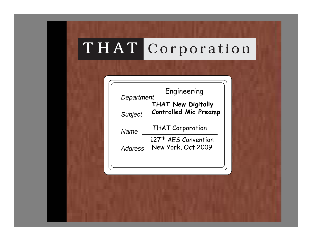| Department     | <b>THAT New Digitally</b>        |
|----------------|----------------------------------|
| <b>Subject</b> | <b>Controlled Mic Preamp</b>     |
| Name           | <b>THAT Corporation</b>          |
|                | 127 <sup>th</sup> AES Convention |
| Address        | New York, Oct 2009               |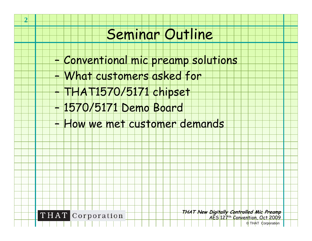# Seminar Outline

- –Conventional mic preamp solutions
- –What customers asked for
- THAT1570/5171 chipset
- –1570/5171 Demo Board
- –How we met customer demands



–

**2**

**THAT New Digitally Controlled Mic Preamp** AES 127<sup>th</sup> Convention, Oct 2009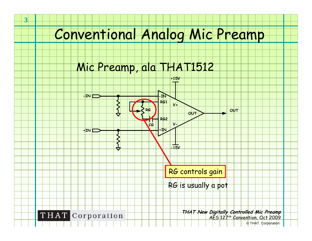# Conventional Analog Mic Preamp

#### Mic Preamp, ala THAT1512

**3**

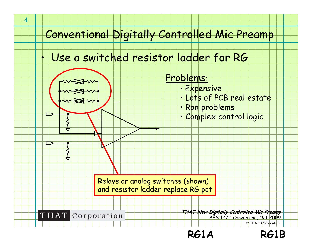#### Conventional Digitally Controlled Mic Preamp

#### Use a switched resistor ladder for RG

**4**

•

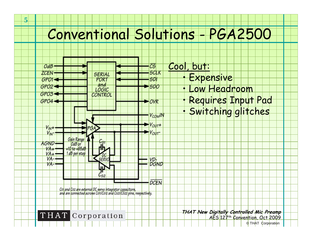# Conventional Solutions - PGA2500

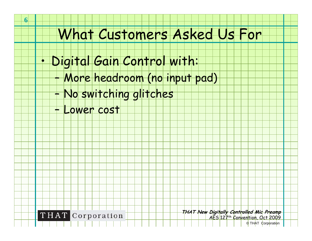# What Customers Asked Us For

- • Digital Gain Control with:
	- –More headroom (no input pad)
	- –No switching glitches
	- –Lower cost

**6**



**THAT New Digitally Controlled Mic Preamp**

AES 127th Convention, Oct 2009 © THAT Corporation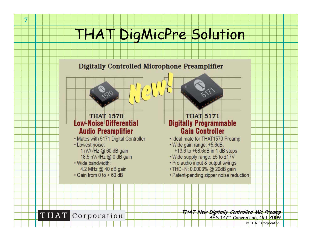# **HAT DigMicPre Solution**

#### **Digitally Controlled Microphone Preamplifier**

#### **THAT 1570 Low-Noise Differential Audio Preamplifier**

- . Mates with 5171 Digital Controller
- Lowest noise:
	- 1 nV/ $\sqrt{Hz}$  @ 60 dB gain
	- 18.5 nV/ $\sqrt{Hz}$  @ 0 dB gain
- · Wide bandwidth:
	- 4.2 MHz @ 40 dB gain
- $\cdot$  Gain from 0 to > 60 dB

#### **THAT 5171 Digitally Programmable Gain Controller**

- · Ideal mate for THAT1570 Preamp
- · Wide gain range: +5.6dB. +13.6 to +68.6dB in 1 dB steps
- Wide supply range: ±5 to ±17V
- Pro audio input & output swings
- · THD+N: 0.0003% @ 20dB gain
- Patent-pending zipper noise reduction



**7**

**THAT** Corporation

**THAT New Digitally Controlled Mic Preamp** AES 127th Convention, Oct 2009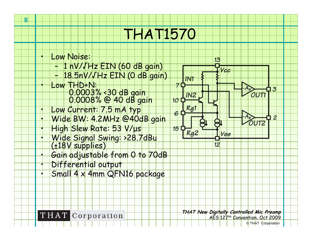# THAT1570



**THAT** Corporation

**8**

**THAT New Digitally Controlled Mic Preamp** AES 127th Convention, Oct 2009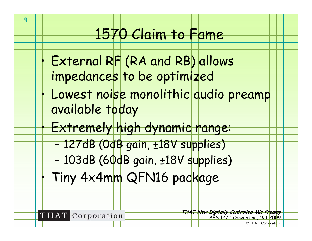# 1570 Claim to Fame

- • External RF (RA and RB) allows impedances to be optimized
- • Lowest noise monolithic audio preamp available today
	- Extremely high dynamic range:
		- –127dB (0dB gain, ±18V supplies)
		- –103dB (60dB gain, ±18V supplies)
		- Tiny 4x4mm QFN16 package



**9**

•

•

**THAT New Digitally Controlled Mic Preamp** AES 127th Convention, Oct 2009 © THAT Corporation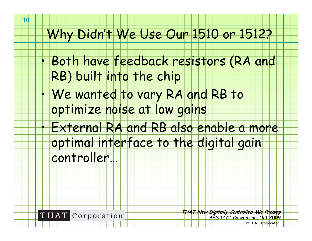#### Why Didn't We Use Our 1510 or 1512?

- • Both have feedback resistors (RA and RB) built into the chip
- We wanted to vary RA and RB to optimize noise at low gains
- • External RA and RB also enable a more optimal interface to the digital gain controller…



**THAT New Digitally Controlled Mic Preamp** AES 127th Convention, Oct 2009

© THAT Corporation

•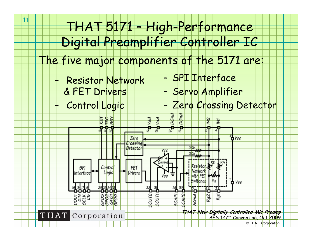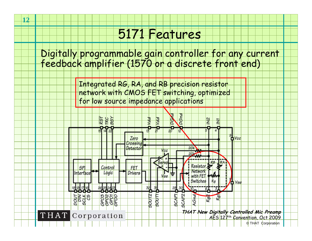**12**

Digitally programmable gain controller for any current feedback amplifier (1570 or a discrete front end)

> Integrated RG, RA, and RB precision resistor network with CMOS FET switching, optimized for low source impedance applications

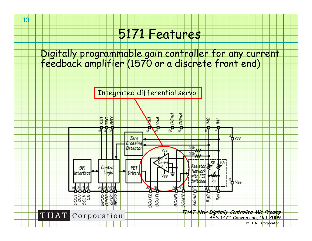**13**

Digitally programmable gain controller for any current feedback amplifier (1570 or a discrete front end)

Integrated differential servo

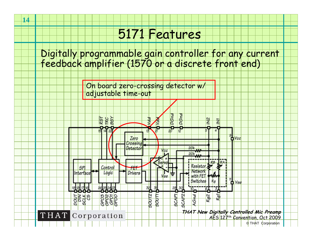Digitally programmable gain controller for any current feedback amplifier (1570 or a discrete front end)



**14**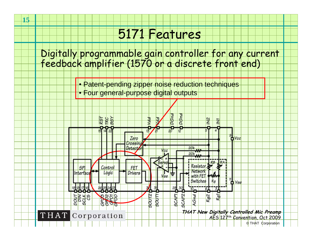Digitally programmable gain controller for any current feedback amplifier (1570 or a discrete front end)

> •Patent-pending zipper noise reduction techniques

• Four general-purpose digital outputs

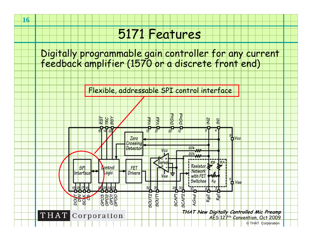**16**

Digitally programmable gain controller for any current feedback amplifier (1570 or a discrete front end)

Flexible, addressable SPI control interface

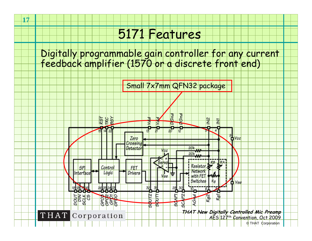**17**

Digitally programmable gain controller for any current feedback amplifier (1570 or a discrete front end)



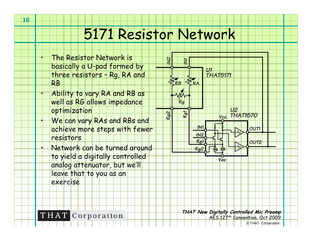# 5171 Resistor Network

 The Resistor Network is  $\overline{M}$ Þ basically a U-pad formed by U1 |<br>THAT5171 three resistors – Rg, RA and  $\mathcal{Z}_{\mathsf{RA}}$ RB $RB$  Ability to vary RA and RB as well as RG allows impedance  $Rg$ optimization  $U<sub>2</sub>$ Rg1 Rg2 **THAT1570** Vccl We can vary RAs and RBs and IN<sub>1</sub> achieve more steps with fewer **OUT1**  $IN2$ resistors  $Ra$  $OUT2$  Network can be turned around  $Rg2$ to yield a digitally controlled Vee analog attenuator, but we'll leave that to you as an exercise**THAT** Corporation

**18**

•

•

•

•

**THAT New Digitally Controlled Mic Preamp** AES 127<sup>th</sup> Convention, Oct 2009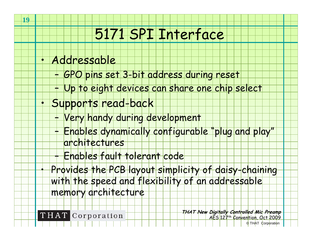# 5171 SPI Interface

•Addressable

**19**

- –GPO pins set 3-bit address during reset
- –Up to eight devices can share one chip select
- • Supports read-back
	- –Very handy during development
	- – Enables dynamically configurable "plug and play" architectures
		- Enables fault tolerant code
	- Provides the PCB layout simplicity of daisy-chaining with the speed and flexibility of an addressable memory architecture



–

•

**THAT New Digitally Controlled Mic Preamp** AES 127th Convention, Oct 2009 © THAT Corporation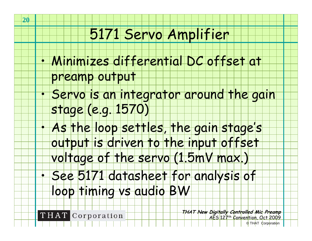### 5171 Servo Amplifier

- • Minimizes differential DC offset at preamp output
	- Servo is an integrator around the gain stage (e.g. 1570)
- • As the loop settles, the gain stage's output is driven to the input offset voltage of the servo (1.5mV max.)
- See 5171 datasheet for analysis of

loop timing vs audio BW

**THAT** Corporation

**20**

•

•

**THAT New Digitally Controlled Mic Preamp** AES 127th Convention, Oct 2009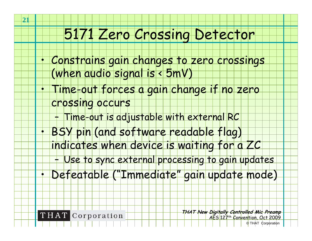#### 5171 Zero Crossing Detector

- Constrains gain changes to zero crossings (when audio signal is < 5mV)
	- Time-out forces a gain change if no zero
	- crossing occurs
		- –Time-out is adjustable with external RC
- • BSY pin (and software readable flag) indicates when device is waiting for a ZC
	- –Use to sync external processing to gain updates
- •Defeatable ("Immediate" gain update mode)



**THAT New Digitally Controlled Mic Preamp** AES 127th Convention, Oct 2009 © THAT Corporation

•

•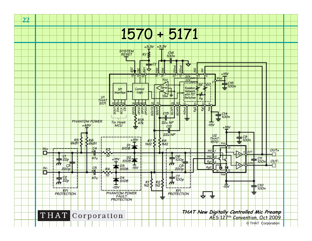



**22**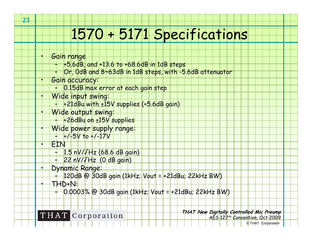# 1570 + 5171 Specifications

Gain range

–

**23**

•

•

•

•

•

•

•

•

- $+5.6$ dB, and  $+13.6$  to  $+68.6$ dB in 1dB steps
- –Or, 0dB and 8~63dB in 1dB steps, with -5.6dB attenuator
- Gain accuracy:
	- –0.15dB max error at each gain step
- Wide input swing:
	- – $+21$ dBu with  $\pm15V$  supplies  $(+5.6$ dB gain)
	- Wide output swing:
	- +26dBu on ±15V supplies
	- Wide power supply range:  $+/-5V$  to  $+/-17V$
- – EIN
	- –1.5 nV/√Hz (68.6 dB gain)
	- – $22 nV/VHz$  (0 dB gain)
- Dynamic Range:
	- – $120dB$  @ 30dB gain (1kHz; Vout = +21dBu; 22kHz BW)
	- THD+N:
		- –0.0003% @ 30dB gain (1kHz; Vout = +21dBu; 22kHz BW)



**THAT New Digitally Controlled Mic Preamp**

AES 127th Convention, Oct 2009 © THAT Corporation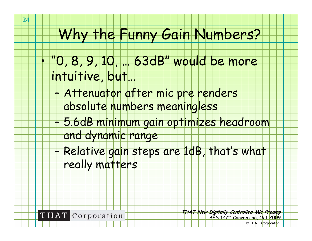# Why the Funny Gain Numbers?

- "0, 8, 9, 10, … 63dB" would be more intuitive, but…
	- Attenuator after mic pre renders
		- absolute numbers meaningless
	- – 5.6dB minimum gain optimizes headroom and dynamic range
	- – Relative gain steps are 1dB, that's what really matters



**THAT New Digitally Controlled Mic Preamp** AES 127th Convention, Oct 2009

© THAT Corporation

•

–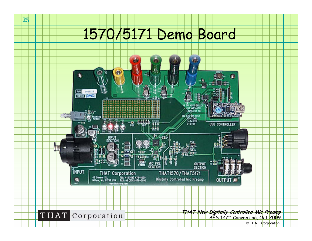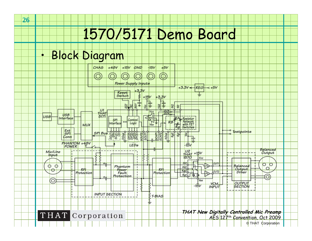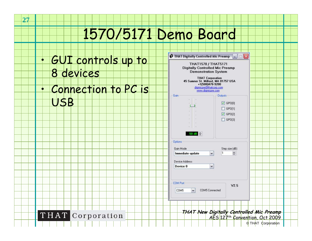• GUI controls up to 8 devices • Connection to PC is USB

THAT Corporation

**27**

| <b>Digitally Controlled Mic Preamp</b><br><b>Demonstration System</b><br>45 Sumner St. Milford, MA 01757 USA | <b>THAT Corporation</b><br>+1(508)478-9200<br>digmicpre@thatcorp.com |                                                                      |  |  |  |
|--------------------------------------------------------------------------------------------------------------|----------------------------------------------------------------------|----------------------------------------------------------------------|--|--|--|
| www.digmicpre.com                                                                                            |                                                                      |                                                                      |  |  |  |
| Gain                                                                                                         | <b>Outputs</b>                                                       |                                                                      |  |  |  |
|                                                                                                              |                                                                      | $\triangledown$ GPO[0]<br>GP0[1]<br>$\triangledown$ GPO[2]<br>GP0[3] |  |  |  |
| 50 dB 令<br><b>Options</b><br>Gain Mode<br>Immediate update<br><b>Device Address</b>                          | 1<br>$\mathbf{v}$                                                    | Step size (dB)<br>$\Rightarrow$                                      |  |  |  |
| Device 0                                                                                                     | $\checkmark$                                                         |                                                                      |  |  |  |
| <b>COM Port</b><br>COM5<br>$\mathbf{v}$                                                                      | COM5 Connected                                                       | V2.5                                                                 |  |  |  |
|                                                                                                              |                                                                      |                                                                      |  |  |  |
| THAT New Digitally Controlled Mic Preamp<br>AES 127 <sup>th</sup> Convention, Oct 2009                       |                                                                      |                                                                      |  |  |  |

 $\bullet$  THAT Digitally Controlled Mic Preamp  $\Box$ 

THAT1570 / THAT5171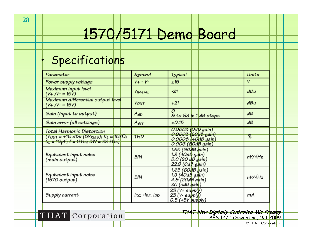#### •Specifications

| Parameter                                                                                                                                                  | Symbol         | Typical                                                                              | Units          |
|------------------------------------------------------------------------------------------------------------------------------------------------------------|----------------|--------------------------------------------------------------------------------------|----------------|
| Power supply voltage                                                                                                                                       | $V + V -$      | ±15                                                                                  |                |
| Maximum input level<br>$(V + IV - 15V)$                                                                                                                    | Vin-Bal        | $-2$                                                                                 | dBu            |
| Maximum differential output level<br>$(Y + IV - 15V)$                                                                                                      | Vour           | $+21$                                                                                | dBu            |
| Gain (input to output)                                                                                                                                     | AdB            | 0<br>8 to 63 in 1 dB steps                                                           | dB             |
| Gain error (all settings)                                                                                                                                  | Aerr           | $\pm 0.15$                                                                           | dB             |
| Total Harmonic Distortion<br>$($ Y <sub>OUT</sub> = +16 dBu (5 $V_{RMS}$ ); R <sub>L</sub> = 10k $\Omega$ ;<br>$C_{\rm L} = 10pF$ ; f = 1kHz; BW = 22 kHz) | THD            | 0.0003 (OdB gain)<br>0.0003 (20dB gain)<br>0.0008 (40dB gain)<br>$0.006$ (60dB gain) | %              |
| Equivalent input noise<br>(main output)                                                                                                                    | EIN            | 1.65 (60dB gain)<br>1.9 (40dB gain)<br>$5.0$ (20 dB gain)                            | nV/VHz         |
| Equivalent input noise<br>$(1570$ output)                                                                                                                  | EIN            | $22.9$ (OdB gain)<br>1.65 (60dB gain)<br>$1.9(40d\beta$ gain)<br>4.8 (20dB gain)     | $hV/\sqrt{Hz}$ |
| Supply current                                                                                                                                             | Icc; -Iee, Idd | 20 (odB gain)<br>$23(Y + \text{supply})$<br>$23 (V$ - $\sqrt{supp(y)}$               | mA             |
|                                                                                                                                                            |                | $0.5$ (+5V supply)                                                                   |                |

THAT Corporation

**THAT New Digitally Controlled Mic Preamp**

AES 127<sup>th</sup> Convention, Oct 2009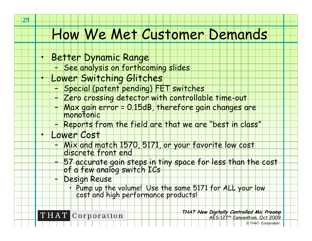- Better Dynamic Range
	- –See analysis on forthcoming slides
- Lower Switching Glitches
	- Special (patent pending) FET switches
	- Zero crossing detector with controllable time-out
	- Max gain error = 0.15dB, therefore gain changes are<br>monotonic
	- –Reports from the field are that we are "best in class"
- Lower Cost
	- + Mix and match 1570, 5171, or your favorite low cost<br>| discrete front end
	- –57 accurate gain steps in tiny space for less than the cost<br>of a few analog switch ICs
	- – Design Reuse
		- •Pump up the volume! Use the same 5171 for ALL your low

**THAT** Corporation

**THAT New Digitally Controlled Mic Preamp** AES 127th Convention, Oct 2009

© THAT Corporation

•

•

•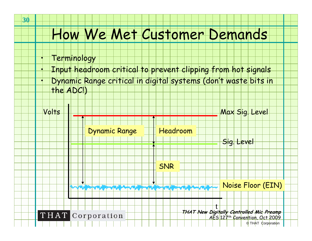- **Terminology**
- Input headroom critical to prevent clipping from hot signals
- Dynamic Range critical in digital systems (don't waste bits in the ADC!)



•

•

•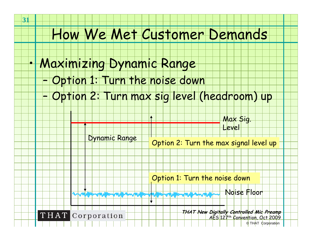- • Maximizing Dynamic Range
	- –Option 1: Turn the noise down
	- –Option 2: Turn max sig level (headroom) up



Dynamic Range

Option 2: Turn the max signal level up

Option 1: Turn the noise down

Noise Floor m range range range in anger anger range range in ang



**31**

**THAT New Digitally Controlled Mic Preamp** AES 127th Convention, Oct 2009 © THAT Corporation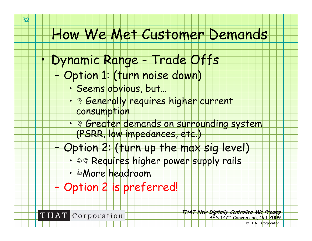- Dynamic Range Trade Offs
	- – Option 1: (turn noise down)
		- Seems obvious, but…
		- **' © Generally requires higher current** consumption
		- <u>, © Greater demands on surrounding system</u> (PSRR, low impedances, etc.)
		- Option 2: (turn up the max sig level)
			- **A® Requires higher power supply rails**
			- &More headroom
	- –Option 2 is preferred!



–

**32**

•

•

•

•

**THAT New Digitally Controlled Mic Preamp** AES 127th Convention, Oct 2009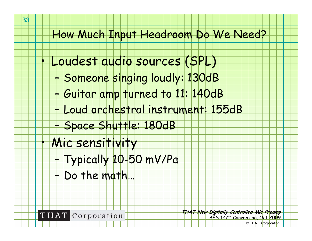#### How Much Input Headroom Do We Need?

- Loudest audio sources (SPL)
	- –Someone singing loudly: 130dB
	- –Guitar amp turned to 11: 140dB
	- –Loud orchestral instrument: 155dB
	- –<mark>- Space Shuttle: 1</mark>80dB
- Mic sensitivity
	- –Typically 10-50 mV/Pa
	- –Do the math…



**THAT New Digitally Controlled Mic Preamp** AES 127th Convention, Oct 2009

© THAT Corporation

•

•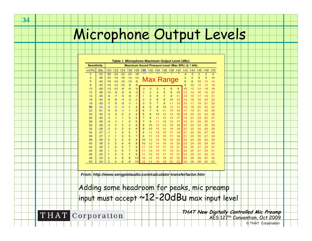# Microphone Output Levels

| <b>Sensitivity</b>                                               |       |                |           |                |                |                |          | Maximum Sound Pressure Level (Max SPL) @ 1 kHz |                |                |          |     |                |      |          |                |                         |  |
|------------------------------------------------------------------|-------|----------------|-----------|----------------|----------------|----------------|----------|------------------------------------------------|----------------|----------------|----------|-----|----------------|------|----------|----------------|-------------------------|--|
| mV/Pa                                                            | dBu   | 120            | 122       | 124            | 126            | 128            | 130      | 132                                            | 134            | 136            | 138      | 140 | 142            | 144  | 146      | 148            | 150                     |  |
| $\overline{2}$                                                   | $-52$ | $-26$          | $-24$     | $-22$          | $-20$          | $-18$          |          |                                                |                |                |          |     | -4             | $-2$ | $\alpha$ | $\overline{2}$ | $\overline{\mathbf{4}}$ |  |
| 4                                                                | $-46$ | $-20$          | $-18$     | $-16$          | $-14$          | $-12$          |          |                                                |                |                |          |     | 2              | 4    | 6        | 8              | 10                      |  |
| 6                                                                | $-42$ | $-16$          | $-14$     | $-12$          | $-10$          | $-8$           |          | Max Range                                      |                |                |          |     | 6              | 8    | 10       | 12             | 14                      |  |
| 8                                                                | $-40$ | $-14$          | $-12$     | $-10$          | $-B$           | -6             |          |                                                |                |                |          |     | $\overline{a}$ | 10   | 12       | 14             | 16                      |  |
| 10                                                               | $-38$ | $-12$          | $-10$     | -8             | -6             | -4             | -2       | o                                              | $\overline{2}$ | 4              | 6        | 8   | 10             | 12   | 14       | 16             | 18                      |  |
| 12                                                               | $-36$ | $-10$          | $-8$      | -6             | $-4$           | $-2$           | Ō        | $\overline{2}$                                 | 4              | 6              | 8        | 10  | 12             | 14   | 16       | 18             | 20                      |  |
| 14                                                               | $-35$ | -9             | $-7$      | $-5$           | -3             | $-1$           | 1        | 3                                              | 5              | 7              | $\Omega$ | 11  | 13             | 15   | 17       | 19             | 21                      |  |
| 16                                                               | $-34$ | $-8$           | -6        | $-4$           | $-2$           | Ö              | 2        | 4                                              | 6              | 8              | 10       | 12  | 14             | 16   | 18       | 20             | 22                      |  |
| 18                                                               | $-33$ | $-7$           | $-5$      | $-3$           | $-1$           | 1              | 3        | 5                                              | 7              | $\overline{9}$ | 11       | 13  | 15             | 17   | 19       | 21             | 23                      |  |
| 20                                                               | $-32$ | $-6$           | -4        | $-2$           | Ō              | $\overline{2}$ | 4        | 6                                              | 8              | 10             | 12       | 14  | 16             | 18   | 20       | 22             | 24                      |  |
| 22                                                               | $-31$ | $-5$           | $-3$      | -1             | 1              | 3              | 5        | 7                                              | 9              | 11             | 13       | 15  | 17             | 19   | 21       | 23             | 25                      |  |
| 24                                                               | $-30$ | $-4$           | $-2$      | Ō              | $\overline{2}$ | 4              | 6        | 8                                              | 10             | 12             | 14       | 16  | 18             | 20   | 22       | 24             | 26                      |  |
| 26                                                               | $-29$ | $-3$           | $-1$      |                | 3              | 5              | 7        | 9                                              | 11             | 13             | 15       | 17  | 19             | 21   | 23       | 25             | 27                      |  |
| 28                                                               | $-29$ | $-3$           | $-1$      |                | 3              | 5              | 7        | 9                                              | 11             | 13             | 15       | 17  | 19             | 21   | 23       | 25             | 27                      |  |
| 30                                                               | $-28$ | $-2$           | 0         | $\overline{2}$ | 4              | 6              | 8        | 10                                             | 12             | 14             | 16       | 18  | 20             | 22   | 24       | 26             | 28                      |  |
| 32                                                               | $-28$ | $-2$           | 0         | $\overline{2}$ | 4              | 6              | 8        | 10                                             | 12             | 14             | 16       | 18  | 20             | 22   | 24       | 26             | 28                      |  |
| 34                                                               | $-27$ | -1             | 1         | 3              | 5              | 7              | 9        | 11                                             | 13             | 15             | 17       | 19  | 21             | 23   | 25       | 27             | 29                      |  |
| 36                                                               | $-27$ | -1             | 1         | з              | 5              | $\overline{7}$ | $\Omega$ | 11                                             | 13             | 15             | 17       | 19  | 21             | 23   | 25       | 27             | 29                      |  |
| 38                                                               | $-28$ | 0              | 2         | 4              | 6              | 8              | 10       | 12                                             | 14             | 16             | 18       | 20  | 22             | 24   | 26       | 28             | 30                      |  |
| 40                                                               | $-26$ | Ō              | $\bar{2}$ | 4              | 6              | 8              | 10       | 12                                             | 14             | 16             | 18       | 20  | 22             | 24   | 26       | 28             | 30                      |  |
| 42                                                               | $-25$ | 1              | 3         | 5              | 7              | 9              | 11       | 13                                             | 15             | 17             | 19       | 21  | 23             | 25   | 27       | 29             | 31                      |  |
| 44                                                               | $-25$ | 1              | 3         | 5              | 7              | 9              | 11       | 13                                             | 15             | 17             | 19       | 21  | 23             | 25   | 27       | 29             | 31                      |  |
| 46                                                               | $-25$ | 1              | 3         | 5              | 7              | 9              | 11       | 13                                             | 15             | 17             | 19       | 21  | 23             | 25   | 27       | 29             | 31                      |  |
| 48                                                               | $-24$ | $\overline{2}$ | 4         | 6              | 8              | 10             | 12       | 14                                             | 16             | 18             | 20       | 22  | 24             | 26   | 28       | 30             | 32                      |  |
| 50                                                               | $-24$ | $\overline{2}$ | 4         | 6              | 8              | 10             | 12       | 14                                             | 16             | 18             | 20       | 22  | 24             | 26   | 28       | 30             | 32                      |  |
|                                                                  |       |                |           |                |                |                |          |                                                |                |                |          |     |                |      |          |                |                         |  |
|                                                                  |       |                |           |                |                |                |          |                                                |                |                |          |     |                |      |          |                |                         |  |
| From: http://www.sengpielaudio.com/calculator-transferfactor.htm |       |                |           |                |                |                |          |                                                |                |                |          |     |                |      |          |                |                         |  |
|                                                                  |       |                |           |                |                |                |          |                                                |                |                |          |     |                |      |          |                |                         |  |
| Adding some headroom for peaks, mic preamp                       |       |                |           |                |                |                |          |                                                |                |                |          |     |                |      |          |                |                         |  |
|                                                                  |       |                |           |                |                |                |          |                                                |                |                |          |     |                |      |          |                |                         |  |
| $\frac{1}{2}$ innut must accent $\sim$ 12-20dBu max innut lev    |       |                |           |                |                |                |          |                                                |                |                |          |     |                |      |          |                |                         |  |

input must accept ~12-20dBu max input level

**34**

THAT Corporation

**THAT New Digitally Controlled Mic Preamp** AES 127<sup>th</sup> Convention, Oct 2009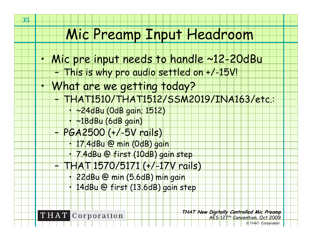#### Mic Preamp Input Headroom

- Mic pre input needs to handle ~12-20dBu
	- –This is why pro audio settled on +/-15V!
	- What are we getting today?
		- THAT1510/THAT1512/SSM2019/INA163/etc.:
			- •~24dBu (0dB gain; 1512)
			- •~18dBu (6dB gain)
		- PGA2500 (+/-5V rails)
			- 17.4dBu @ min (0dB) gain
			- •7.4dBu @ first (10dB) gain step
			- THAT 1570/5171 (+/-17V rails)
				- 22dBu @ min (5.6dB) min gain
				- 14dBu @ first (13.6dB) gain step



**THAT** Corporation

**THAT New Digitally Controlled Mic Preamp** AES 127th Convention, Oct 2009

© THAT Corporation

•

•

–

–

–

•

•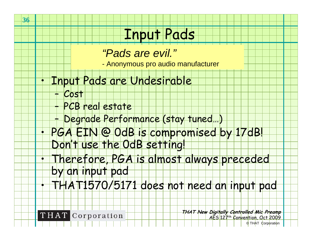### Input Pads

#### *"Pads are evil."*

- Anonymous pro audio manufacturer

#### Input Pads are Undesirable

– Cost

–

**36**

•

•

•

- PCB real estate
- –Degrade Performance (stay tuned…)
- • PGA EIN @ 0dB is compromised by 17dB! Don't use the 0dB setting!
- Therefore, PGA is almost always preceded by an input pad
	- THAT1570/5171 does not need an input pad



**THAT** Corporation

**THAT New Digitally Controlled Mic Preamp** AES 127<sup>th</sup> Convention, Oct 2009 © THAT Corporation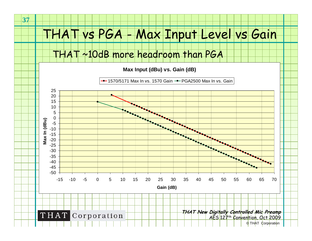#### THAT vs PGA - Max Input Level vs Gain

THAT ~10dB more headroom than PGA

**Max Input (dBu) vs. Gain (dB)**

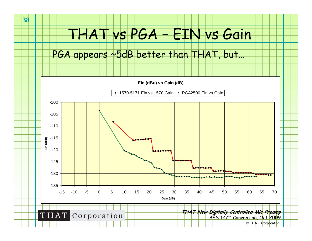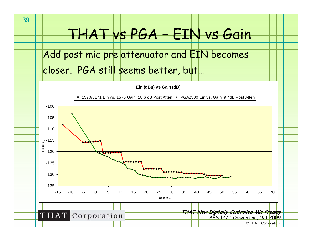### THAT vs PGA – EIN vs Gain

Add post mic pre attenuator and EIN becomes

closer. PGA still seems better, but…

**39**

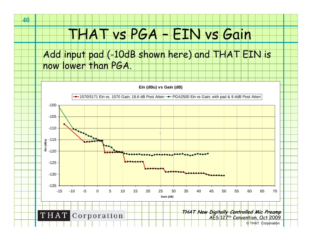### THAT vs PGA – EIN vs Gain

Add input pad (-10dB shown here) and THAT EIN is now lower than PGA.

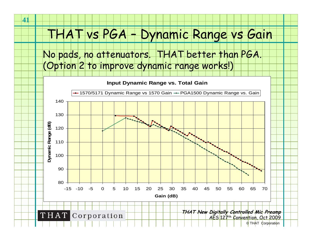#### THAT vs PGA – Dynamic Range vs Gain

No pads, no attenuators. THAT better than PGA. (Option 2 to improve dynamic range works!)

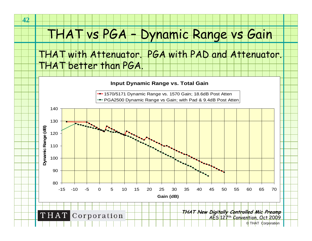#### THAT vs PGA – Dynamic Range vs Gain

#### THAT with Attenuator. PGA with PAD and Attenuator. THAT better than PGA.

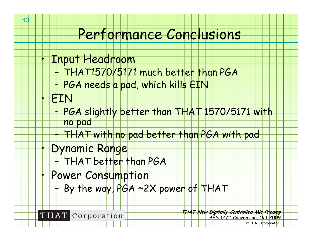#### Performance Conclusions

- Input Headroom
	- THAT1570/5171 much better than PGA
		- PGA needs a pad, which kills EIN
- **EIN**

–

–

•

•

•

**43**

- – PGA slightly better than THAT 1570/5171 with no pad
	- THAT with no pad better than PGA with pad
- Dynamic Range
	- –THAT better than PGA
- • Power Consumption
	- –By the way, PGA ~2X power of THAT



**THAT New Digitally Controlled Mic Preamp** AES 127th Convention, Oct 2009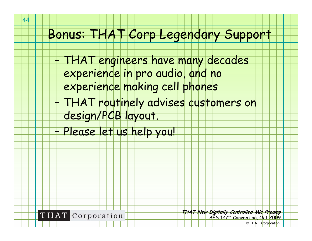# Bonus: THAT Corp Legendary Support

- THAT engineers have many decades
	- experience in pro audio, and no
	- experience making cell phones
- THAT routinely advises customers on design/PCB layout.
- –Please let us help you!



**THAT New Digitally Controlled Mic Preamp** AES 127th Convention, Oct 2009

–

–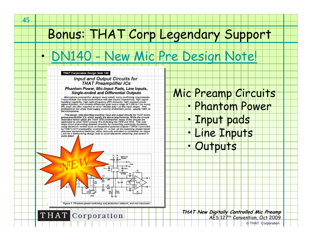# Bonus: THAT Corp Legendary Support

# lew Mic [Pre Design Note!](http://www.thatcorp.com/datashts/dn140.pdf)

#### **THAT Corporation Design Note 140**

#### **Input and Output Circuits for THAT Preamplifier ICs** Phantom Power, Mic-Input Pads, Line Inputs, **Single-ended and Differential Outputs**

Microphone preamplifier designs must satisfy many conflicting requirements. These include low noise performance with low source impedances, high signal reading capability, high radio-frequency (RF) immunity, high common-mode<br>signal rejection, and variable differential gain over a range of 1,000 to 1 (or more).<br>Mic amps are often required to serve "double duty" as line inp professional mic amps must supply a source of phantom power, usually +48V, to the microphone.

This design note describes practical input and output circuits for THAT microphone preamplifier ICs, which satisfy the above requirements. While the circuits illustrated herein utilize the THAT 1570 preamplifier, many of the circuits are applicable to other THAT preamp ICs, including the 1510 and 1512. This note stops short of providing detailed circuitry for controlling switchable functions using electronic control such as the general purpose outputs ("GPOs") provided by THAT's 5171 preamplifier controller IC. In fact, all the switching shown herein assumes mechanical switches, either manually activated or controlled via relays. Look for a forthcoming design note to cover electronic switching and control in some detail

*NEW*

Figure 1. Phantom power switching and protection network, and mic-input pad

THAT Corporation

#### Mic Preamp Circuits

- •Phantom Power
- Input pads
- •Line Inputs
- •**Outputs**

•



•